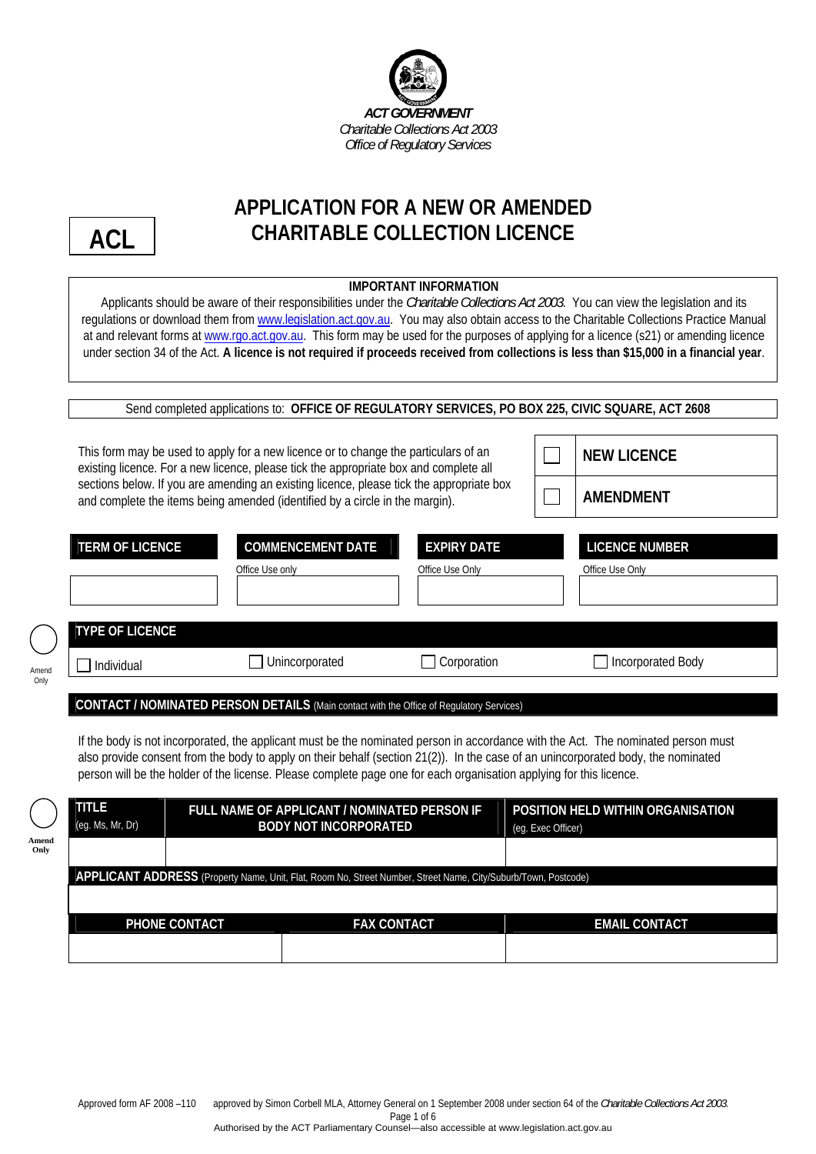



**Amend Only**

Amen Only

# **APPLICATION FOR A NEW OR AMENDED CHARITABLE COLLECTION LICENCE**

| <b>IMPORTANT INFORMATION</b><br>Applicants should be aware of their responsibilities under the Charitable Collections Act 2003. You can view the legislation and its<br>regulations or download them from www.legislation.act.gov.au. You may also obtain access to the Charitable Collections Practice Manual<br>at and relevant forms at www.rgo.act.gov.au. This form may be used for the purposes of applying for a licence (s21) or amending licence<br>under section 34 of the Act. A licence is not required if proceeds received from collections is less than \$15,000 in a financial year. |                                                                                                                                                                                                                                                                                                                                                          |                                       |                                                                                                                                                                                                                                                                        |  |  |  |
|------------------------------------------------------------------------------------------------------------------------------------------------------------------------------------------------------------------------------------------------------------------------------------------------------------------------------------------------------------------------------------------------------------------------------------------------------------------------------------------------------------------------------------------------------------------------------------------------------|----------------------------------------------------------------------------------------------------------------------------------------------------------------------------------------------------------------------------------------------------------------------------------------------------------------------------------------------------------|---------------------------------------|------------------------------------------------------------------------------------------------------------------------------------------------------------------------------------------------------------------------------------------------------------------------|--|--|--|
|                                                                                                                                                                                                                                                                                                                                                                                                                                                                                                                                                                                                      |                                                                                                                                                                                                                                                                                                                                                          |                                       | Send completed applications to: OFFICE OF REGULATORY SERVICES, PO BOX 225, CIVIC SQUARE, ACT 2608                                                                                                                                                                      |  |  |  |
|                                                                                                                                                                                                                                                                                                                                                                                                                                                                                                                                                                                                      | This form may be used to apply for a new licence or to change the particulars of an<br>existing licence. For a new licence, please tick the appropriate box and complete all<br>sections below. If you are amending an existing licence, please tick the appropriate box<br>and complete the items being amended (identified by a circle in the margin). |                                       | <b>NEW LICENCE</b><br><b>AMENDMENT</b>                                                                                                                                                                                                                                 |  |  |  |
| <b>TERM OF LICENCE</b>                                                                                                                                                                                                                                                                                                                                                                                                                                                                                                                                                                               | <b>COMMENCEMENT DATE</b><br>Office Use only                                                                                                                                                                                                                                                                                                              | <b>EXPIRY DATE</b><br>Office Use Only | <b>LICENCE NUMBER</b><br>Office Use Only                                                                                                                                                                                                                               |  |  |  |
| <b>TYPE OF LICENCE</b>                                                                                                                                                                                                                                                                                                                                                                                                                                                                                                                                                                               |                                                                                                                                                                                                                                                                                                                                                          |                                       |                                                                                                                                                                                                                                                                        |  |  |  |
| Individual                                                                                                                                                                                                                                                                                                                                                                                                                                                                                                                                                                                           | Unincorporated                                                                                                                                                                                                                                                                                                                                           | Corporation                           | Incorporated Body                                                                                                                                                                                                                                                      |  |  |  |
|                                                                                                                                                                                                                                                                                                                                                                                                                                                                                                                                                                                                      | CONTACT / NOMINATED PERSON DETAILS (Main contact with the Office of Regulatory Services)                                                                                                                                                                                                                                                                 |                                       |                                                                                                                                                                                                                                                                        |  |  |  |
|                                                                                                                                                                                                                                                                                                                                                                                                                                                                                                                                                                                                      | person will be the holder of the license. Please complete page one for each organisation applying for this licence.                                                                                                                                                                                                                                      |                                       | If the body is not incorporated, the applicant must be the nominated person in accordance with the Act. The nominated person must<br>also provide consent from the body to apply on their behalf (section 21(2)). In the case of an unincorporated body, the nominated |  |  |  |
| <b>TITLE</b><br>(eg. Ms, Mr, Dr)                                                                                                                                                                                                                                                                                                                                                                                                                                                                                                                                                                     | FULL NAME OF APPLICANT / NOMINATED PERSON IF<br><b>BODY NOT INCORPORATED</b>                                                                                                                                                                                                                                                                             |                                       | POSITION HELD WITHIN ORGANISATION<br>(eg. Exec Officer)                                                                                                                                                                                                                |  |  |  |
|                                                                                                                                                                                                                                                                                                                                                                                                                                                                                                                                                                                                      | APPLICANT ADDRESS (Property Name, Unit, Flat, Room No, Street Number, Street Name, City/Suburb/Town, Postcode)                                                                                                                                                                                                                                           |                                       |                                                                                                                                                                                                                                                                        |  |  |  |
| PHONE CONTACT                                                                                                                                                                                                                                                                                                                                                                                                                                                                                                                                                                                        |                                                                                                                                                                                                                                                                                                                                                          | <b>FAX CONTACT</b>                    | <b>EMAIL CONTACT</b>                                                                                                                                                                                                                                                   |  |  |  |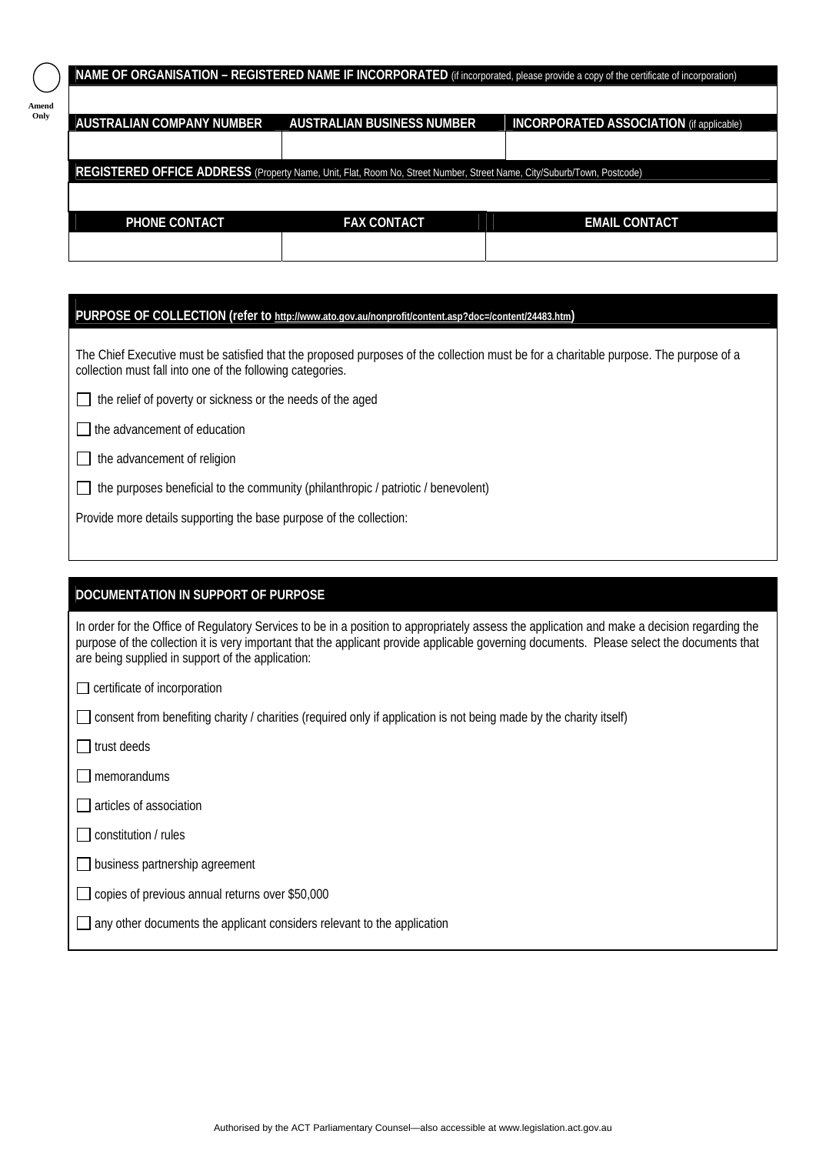|                           |                                                                                                                        | <b>NAME OF ORGANISATION - REGISTERED NAME IF INCORPORATED</b> (if incorporated, please provide a copy of the certificate of incorporation) |
|---------------------------|------------------------------------------------------------------------------------------------------------------------|--------------------------------------------------------------------------------------------------------------------------------------------|
| AUSTRALIAN COMPANY NUMBER | AUSTRALIAN BUSINESS NUMBER                                                                                             | <b>INCORPORATED ASSOCIATION</b> (if applicable)                                                                                            |
|                           | REGISTERED OFFICE ADDRESS (Property Name, Unit, Flat, Room No, Street Number, Street Name, City/Suburb/Town, Postcode) |                                                                                                                                            |
| <b>PHONE CONTACT</b>      | <b>FAX CONTACT</b>                                                                                                     | <b>EMAIL CONTACT</b>                                                                                                                       |
|                           |                                                                                                                        |                                                                                                                                            |

#### **PURPOSE OF COLLECTION (refer to [http://www.ato.gov.au/nonprofit/content.asp?doc=/content/24483.htm\)](http://www.ato.gov.au/nonprofit/content.asp?doc=/content/24483.htm)**

The Chief Executive must be satisfied that the proposed purposes of the collection must be for a charitable purpose. The purpose of a collection must fall into one of the following categories.

 $\Box$  the relief of poverty or sickness or the needs of the aged

 $\Box$  the advancement of education

**Amend Only**

|  | $\Box$ the advancement of religion |
|--|------------------------------------|
|--|------------------------------------|

 $\Box$  the purposes beneficial to the community (philanthropic / patriotic / benevolent)

Provide more details supporting the base purpose of the collection:

# **DOCUMENTATION IN SUPPORT OF PURPOSE**

In order for the Office of Regulatory Services to be in a position to appropriately assess the application and make a decision regarding the purpose of the collection it is very important that the applicant provide applicable governing documents. Please select the documents that are being supplied in support of the application:

 $\Box$  certificate of incorporation

consent from benefiting charity / charities (required only if application is not being made by the charity itself)

 $\Box$  trust deeds

 $\Box$  memorandums

 $\Box$  articles of association

 $\Box$  constitution / rules

 $\Box$  business partnership agreement

□ copies of previous annual returns over \$50,000

 $\Box$  any other documents the applicant considers relevant to the application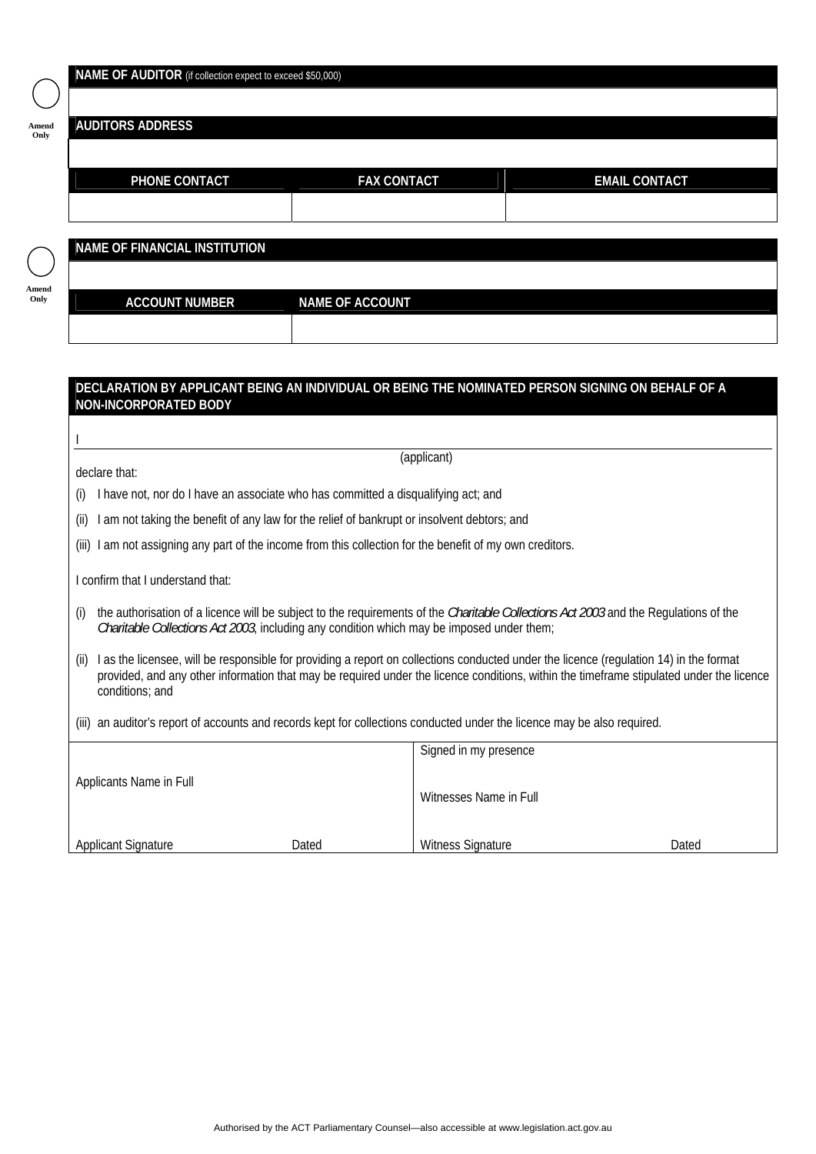## **NAME OF AUDITOR** (if collection expect to exceed \$50,000)

| e<br>$-$<br>× |  |
|---------------|--|
|               |  |

**Amend Only**

## **AUDITORS ADDRESS**

| <b>PHONE CONTACT</b> | <b>FAX CONTACT</b> | <b>EMAIL CONTACT</b> |  |
|----------------------|--------------------|----------------------|--|
|                      |                    |                      |  |
|                      |                    |                      |  |

**NAME OF FINANCIAL INSTITUTION** 

**ACCOUNT NUMBER NAME OF ACCOUNT** 

## **DECLARATION BY APPLICANT BEING AN INDIVIDUAL OR BEING THE NOMINATED PERSON SIGNING ON BEHALF OF A NON-INCORPORATED BODY**

I

(applicant)

declare that:

(i) I have not, nor do I have an associate who has committed a disqualifying act; and

(ii) I am not taking the benefit of any law for the relief of bankrupt or insolvent debtors; and

(iii) I am not assigning any part of the income from this collection for the benefit of my own creditors.

I confirm that I understand that:

- (i) the authorisation of a licence will be subject to the requirements of the *Charitable Collections Act 2003* and the Regulations of the *Charitable Collections Act 2003*, including any condition which may be imposed under them;
- (ii) I as the licensee, will be responsible for providing a report on collections conducted under the licence (regulation 14) in the format provided, and any other information that may be required under the licence conditions, within the timeframe stipulated under the licence conditions; and
- (iii) an auditor's report of accounts and records kept for collections conducted under the licence may be also required.

|                            |       | Signed in my presence    |       |
|----------------------------|-------|--------------------------|-------|
| Applicants Name in Full    |       | Witnesses Name in Full   |       |
| <b>Applicant Signature</b> | Dated | <b>Witness Signature</b> | Dated |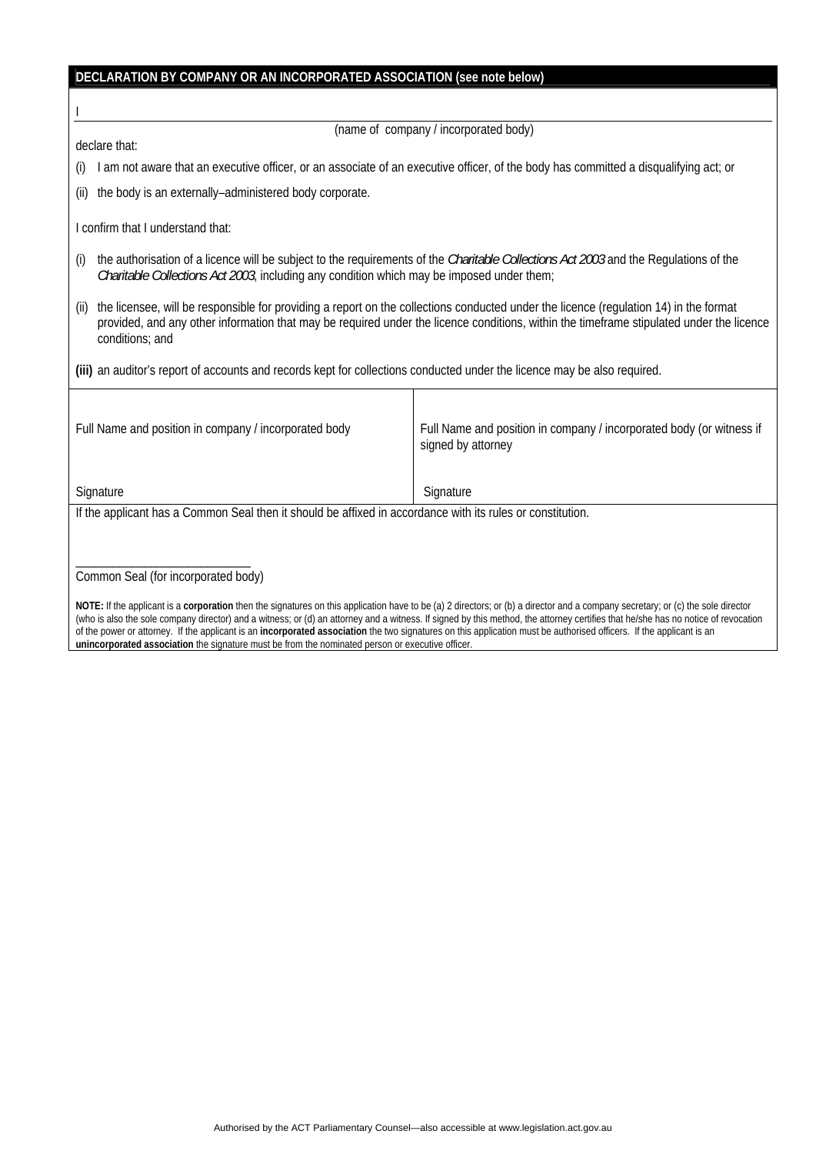# **DECLARATION BY COMPANY OR AN INCORPORATED ASSOCIATION (see note below)**

(name of company / incorporated body)

declare that:

I

(i) I am not aware that an executive officer, or an associate of an executive officer, of the body has committed a disqualifying act; or

(ii) the body is an externally–administered body corporate.

I confirm that I understand that:

- (i) the authorisation of a licence will be subject to the requirements of the *Charitable Collections Act 2003* and the Regulations of the *Charitable Collections Act 2003*, including any condition which may be imposed under them;
- (ii) the licensee, will be responsible for providing a report on the collections conducted under the licence (regulation 14) in the format provided, and any other information that may be required under the licence conditions, within the timeframe stipulated under the licence conditions; and

**(iii)** an auditor's report of accounts and records kept for collections conducted under the licence may be also required.

| Full Name and position in company / incorporated body                                                      | Full Name and position in company / incorporated body (or witness if<br>signed by attorney |
|------------------------------------------------------------------------------------------------------------|--------------------------------------------------------------------------------------------|
| Signature                                                                                                  | Signature                                                                                  |
| If the applicant has a Common Seal then it should be affixed in accordance with its rules or constitution. |                                                                                            |
|                                                                                                            |                                                                                            |
|                                                                                                            |                                                                                            |

Common Seal (for incorporated body)

**NOTE:** If the applicant is a **corporation** then the signatures on this application have to be (a) 2 directors; or (b) a director and a company secretary; or (c) the sole director (who is also the sole company director) and a witness; or (d) an attorney and a witness. If signed by this method, the attorney certifies that he/she has no notice of revocation of the power or attorney. If the applicant is an **incorporated association** the two signatures on this application must be authorised officers. If the applicant is an **unincorporated association** the signature must be from the nominated person or executive officer.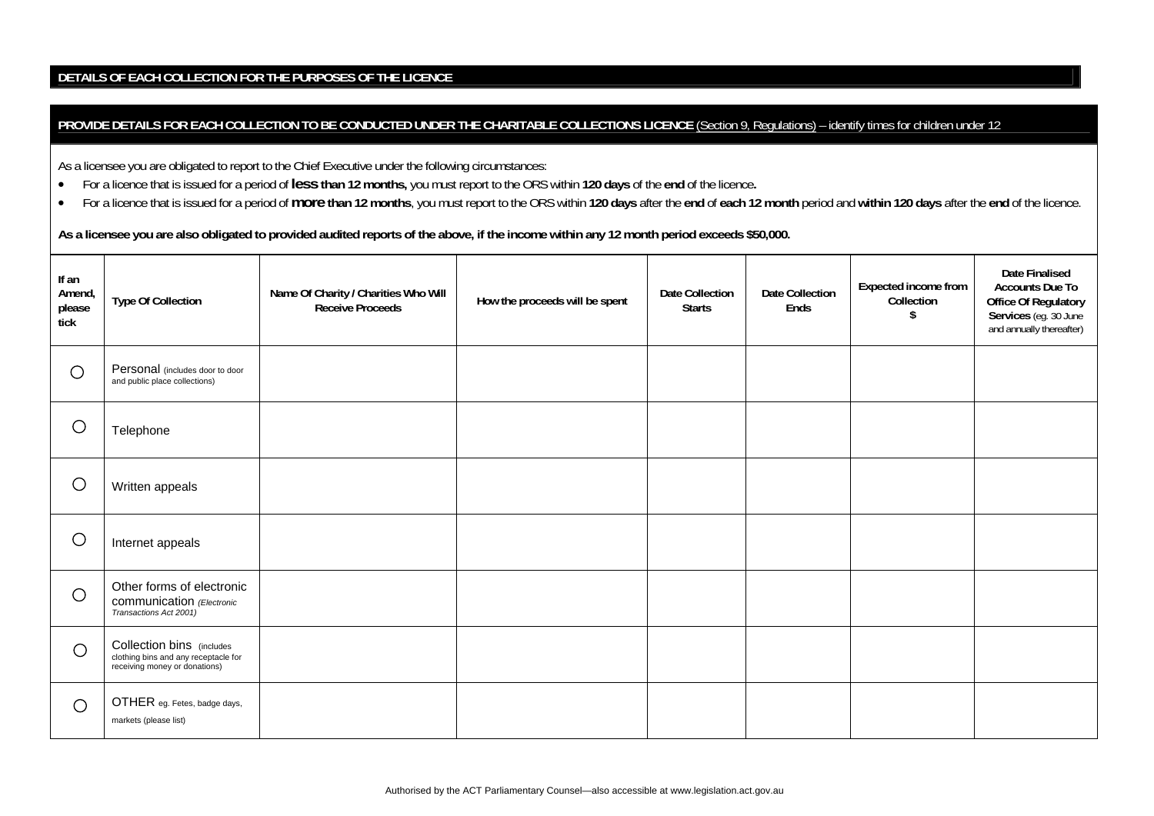### **DETAILS OF EACH COLLECTION FOR THE PURPOSES OF THE LICENCE**

### PROVIDE DETAILS FOR EACH COLLECTION TO BE CONDUCTED UNDER THE CHARITABLE COLLECTIONS LICENCE [\(Section 9, Regulations\)](http://www.legislation.act.gov.au/sl/2003-33/default.asp) - identify times for children under 12

As a licensee you are obligated to report to the Chief Executive under the following circumstances:

- •For a licence that is issued for a period of **less than 12 months,** you must report to the ORS within **120 days** of the **end** of the licence**.**
- •For a licence that is issued for a period of more than 12 months, you must report to the ORS within 120 days after the end of each 12 month period and within 120 days after the end of the licence.

**As a licensee you are also obligated to provided audited reports of the above, if the income within any 12 month period exceeds \$50,000.** 

| If an<br>Amend,<br>please<br>tick | <b>Type Of Collection</b>                                                                          | Name Of Charity / Charities Who Will<br><b>Receive Proceeds</b> | How the proceeds will be spent | <b>Date Collection</b><br><b>Starts</b> | Date Collection<br>Ends | Expected income from<br>Collection | <b>Date Finalised</b><br><b>Accounts Due To</b><br><b>Office Of Regulatory</b><br>Services (eg. 30 June<br>and annually thereafter) |
|-----------------------------------|----------------------------------------------------------------------------------------------------|-----------------------------------------------------------------|--------------------------------|-----------------------------------------|-------------------------|------------------------------------|-------------------------------------------------------------------------------------------------------------------------------------|
| $\bigcirc$                        | Personal (includes door to door<br>and public place collections)                                   |                                                                 |                                |                                         |                         |                                    |                                                                                                                                     |
| $\bigcirc$                        | Telephone                                                                                          |                                                                 |                                |                                         |                         |                                    |                                                                                                                                     |
| $\bigcirc$                        | Written appeals                                                                                    |                                                                 |                                |                                         |                         |                                    |                                                                                                                                     |
| $\bigcirc$                        | Internet appeals                                                                                   |                                                                 |                                |                                         |                         |                                    |                                                                                                                                     |
| O                                 | Other forms of electronic<br>communication (Electronic<br>Transactions Act 2001)                   |                                                                 |                                |                                         |                         |                                    |                                                                                                                                     |
| O                                 | Collection bins (includes<br>clothing bins and any receptacle for<br>receiving money or donations) |                                                                 |                                |                                         |                         |                                    |                                                                                                                                     |
| $\bigcirc$                        | OTHER eg. Fetes, badge days,<br>markets (please list)                                              |                                                                 |                                |                                         |                         |                                    |                                                                                                                                     |